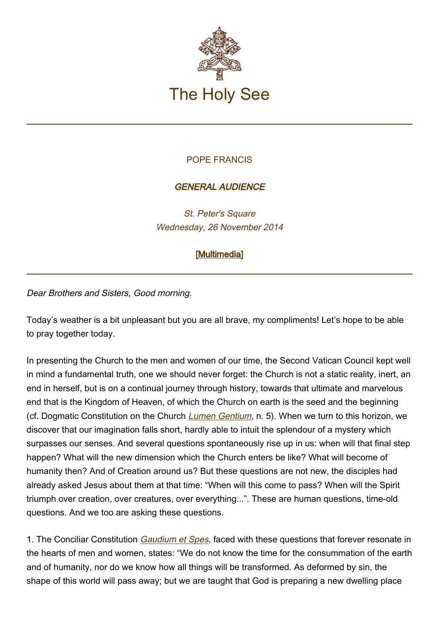

## POPE FRANCIS

## GENERAL AUDIENCE

St. Peter's Square Wednesday, 26 November 2014

## [\[Multimedia](http://w2.vatican.va/content/francesco/en/events/event.dir.html/content/vaticanevents/en/2014/11/26/udienzageneraledel26novembre2014.html)]

Dear Brothers and Sisters, Good morning.

Today's weather is a bit unpleasant but you are all brave, my compliments! Let's hope to be able to pray together today.

In presenting the Church to the men and women of our time, the Second Vatican Council kept well in mind a fundamental truth, one we should never forget: the Church is not a static reality, inert, an end in herself, but is on a continual journey through history, towards that ultimate and marvelous end that is the Kingdom of Heaven, of which the Church on earth is the seed and the beginning (cf. Dogmatic Constitution on the Church [Lumen Gentium](http://www.vatican.va/archive/hist_councils/ii_vatican_council/documents/vat-ii_const_19641121_lumen-gentium_en.html), n. 5). When we turn to this horizon, we discover that our imagination falls short, hardly able to intuit the splendour of a mystery which surpasses our senses. And several questions spontaneously rise up in us: when will that final step happen? What will the new dimension which the Church enters be like? What will become of humanity then? And of Creation around us? But these questions are not new, the disciples had already asked Jesus about them at that time: "When will this come to pass? When will the Spirit triumph over creation, over creatures, over everything...". These are human questions, time-old questions. And we too are asking these questions.

1. The Conciliar Constitution *[Gaudium et Spes](http://www.vatican.va/archive/hist_councils/ii_vatican_council/documents/vat-ii_const_19651207_gaudium-et-spes_en.html)*, faced with these questions that forever resonate in the hearts of men and women, states: "We do not know the time for the consummation of the earth and of humanity, nor do we know how all things will be transformed. As deformed by sin, the shape of this world will pass away; but we are taught that God is preparing a new dwelling place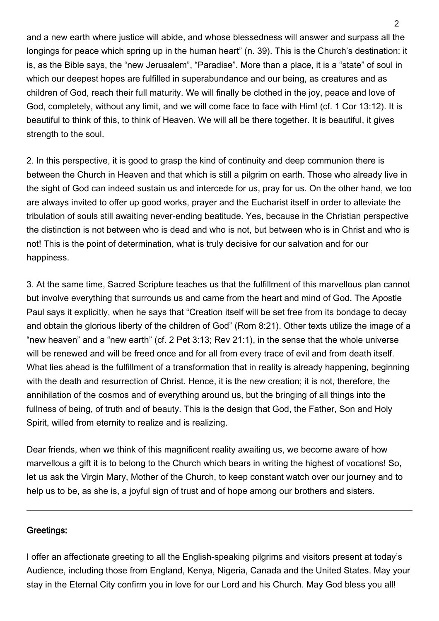and a new earth where justice will abide, and whose blessedness will answer and surpass all the longings for peace which spring up in the human heart" (n. 39). This is the Church's destination: it is, as the Bible says, the "new Jerusalem", "Paradise". More than a place, it is a "state" of soul in which our deepest hopes are fulfilled in superabundance and our being, as creatures and as children of God, reach their full maturity. We will finally be clothed in the joy, peace and love of God, completely, without any limit, and we will come face to face with Him! (cf. 1 Cor 13:12). It is beautiful to think of this, to think of Heaven. We will all be there together. It is beautiful, it gives strength to the soul.

2. In this perspective, it is good to grasp the kind of continuity and deep communion there is between the Church in Heaven and that which is still a pilgrim on earth. Those who already live in the sight of God can indeed sustain us and intercede for us, pray for us. On the other hand, we too are always invited to offer up good works, prayer and the Eucharist itself in order to alleviate the tribulation of souls still awaiting never-ending beatitude. Yes, because in the Christian perspective the distinction is not between who is dead and who is not, but between who is in Christ and who is not! This is the point of determination, what is truly decisive for our salvation and for our happiness.

3. At the same time, Sacred Scripture teaches us that the fulfillment of this marvellous plan cannot but involve everything that surrounds us and came from the heart and mind of God. The Apostle Paul says it explicitly, when he says that "Creation itself will be set free from its bondage to decay and obtain the glorious liberty of the children of God" (Rom 8:21). Other texts utilize the image of a "new heaven" and a "new earth" (cf. 2 Pet 3:13; Rev 21:1), in the sense that the whole universe will be renewed and will be freed once and for all from every trace of evil and from death itself. What lies ahead is the fulfillment of a transformation that in reality is already happening, beginning with the death and resurrection of Christ. Hence, it is the new creation; it is not, therefore, the annihilation of the cosmos and of everything around us, but the bringing of all things into the fullness of being, of truth and of beauty. This is the design that God, the Father, Son and Holy Spirit, willed from eternity to realize and is realizing.

Dear friends, when we think of this magnificent reality awaiting us, we become aware of how marvellous a gift it is to belong to the Church which bears in writing the highest of vocations! So, let us ask the Virgin Mary, Mother of the Church, to keep constant watch over our journey and to help us to be, as she is, a joyful sign of trust and of hope among our brothers and sisters.

## Greetings:

I offer an affectionate greeting to all the English-speaking pilgrims and visitors present at today's Audience, including those from England, Kenya, Nigeria, Canada and the United States. May your stay in the Eternal City confirm you in love for our Lord and his Church. May God bless you all!